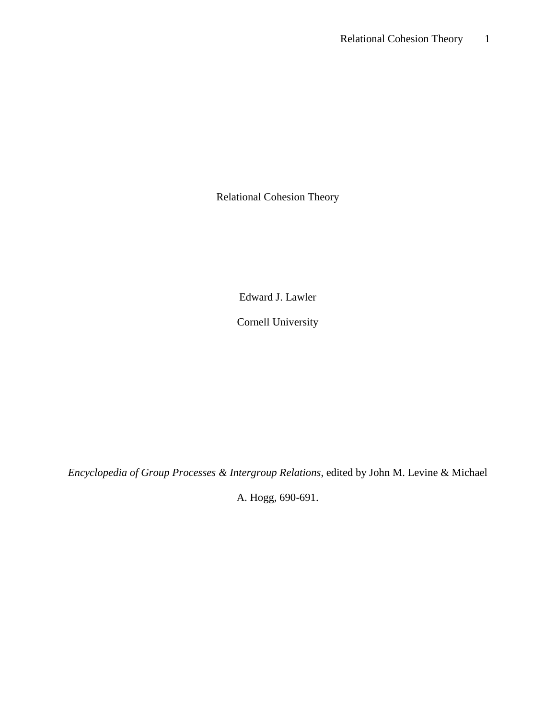Relational Cohesion Theory

Edward J. Lawler

Cornell University

*Encyclopedia of Group Processes & Intergroup Relations*, edited by John M. Levine & Michael

A. Hogg, 690-691.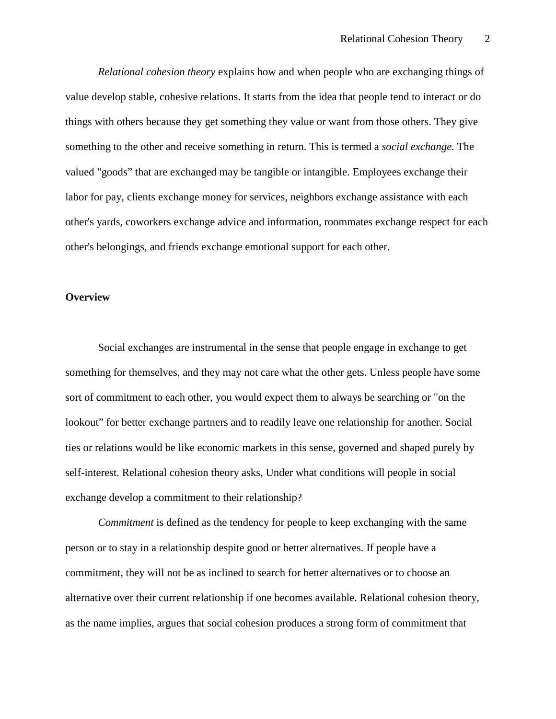*Relational cohesion theory* explains how and when people who are exchanging things of value develop stable, cohesive relations. It starts from the idea that people tend to interact or do things with others because they get something they value or want from those others. They give something to the other and receive something in return. This is termed a *social exchange.* The valued "goods" that are exchanged may be tangible or intangible. Employees exchange their labor for pay, clients exchange money for services, neighbors exchange assistance with each other's yards, coworkers exchange advice and information, roommates exchange respect for each other's belongings, and friends exchange emotional support for each other.

## **Overview**

Social exchanges are instrumental in the sense that people engage in exchange to get something for themselves, and they may not care what the other gets. Unless people have some sort of commitment to each other, you would expect them to always be searching or "on the lookout" for better exchange partners and to readily leave one relationship for another. Social ties or relations would be like economic markets in this sense, governed and shaped purely by self-interest. Relational cohesion theory asks, Under what conditions will people in social exchange develop a commitment to their relationship?

*Commitment* is defined as the tendency for people to keep exchanging with the same person or to stay in a relationship despite good or better alternatives. If people have a commitment, they will not be as inclined to search for better alternatives or to choose an alternative over their current relationship if one becomes available. Relational cohesion theory, as the name implies, argues that social cohesion produces a strong form of commitment that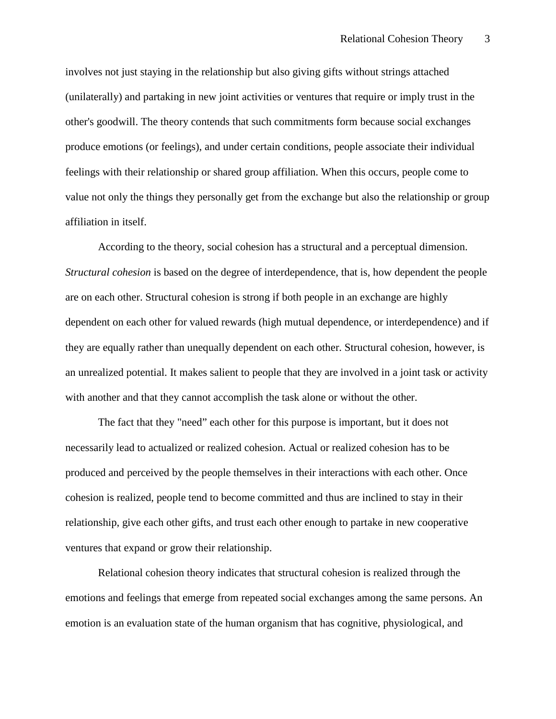involves not just staying in the relationship but also giving gifts without strings attached (unilaterally) and partaking in new joint activities or ventures that require or imply trust in the other's goodwill. The theory contends that such commitments form because social exchanges produce emotions (or feelings), and under certain conditions, people associate their individual feelings with their relationship or shared group affiliation. When this occurs, people come to value not only the things they personally get from the exchange but also the relationship or group affiliation in itself.

According to the theory, social cohesion has a structural and a perceptual dimension. *Structural cohesion* is based on the degree of interdependence, that is, how dependent the people are on each other. Structural cohesion is strong if both people in an exchange are highly dependent on each other for valued rewards (high mutual dependence, or interdependence) and if they are equally rather than unequally dependent on each other. Structural cohesion, however, is an unrealized potential. It makes salient to people that they are involved in a joint task or activity with another and that they cannot accomplish the task alone or without the other.

The fact that they "need" each other for this purpose is important, but it does not necessarily lead to actualized or realized cohesion. Actual or realized cohesion has to be produced and perceived by the people themselves in their interactions with each other. Once cohesion is realized, people tend to become committed and thus are inclined to stay in their relationship, give each other gifts, and trust each other enough to partake in new cooperative ventures that expand or grow their relationship.

Relational cohesion theory indicates that structural cohesion is realized through the emotions and feelings that emerge from repeated social exchanges among the same persons. An emotion is an evaluation state of the human organism that has cognitive, physiological, and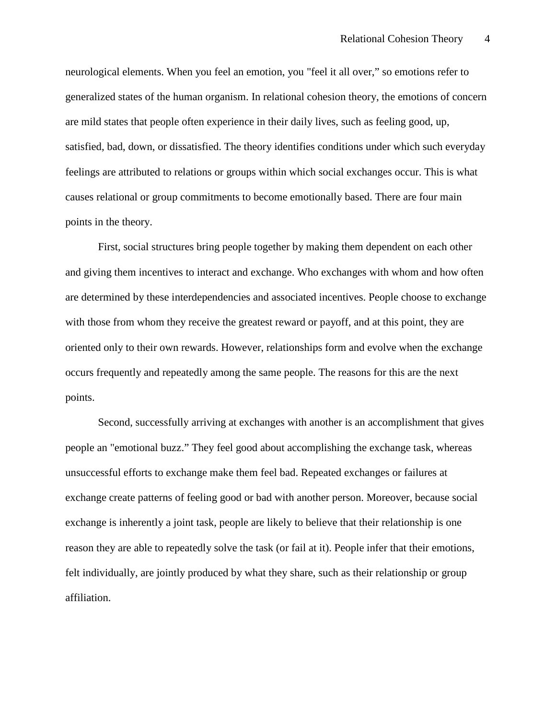neurological elements. When you feel an emotion, you "feel it all over," so emotions refer to generalized states of the human organism. In relational cohesion theory, the emotions of concern are mild states that people often experience in their daily lives, such as feeling good, up, satisfied, bad, down, or dissatisfied. The theory identifies conditions under which such everyday feelings are attributed to relations or groups within which social exchanges occur. This is what causes relational or group commitments to become emotionally based. There are four main points in the theory.

First, social structures bring people together by making them dependent on each other and giving them incentives to interact and exchange. Who exchanges with whom and how often are determined by these interdependencies and associated incentives. People choose to exchange with those from whom they receive the greatest reward or payoff, and at this point, they are oriented only to their own rewards. However, relationships form and evolve when the exchange occurs frequently and repeatedly among the same people. The reasons for this are the next points.

Second, successfully arriving at exchanges with another is an accomplishment that gives people an "emotional buzz." They feel good about accomplishing the exchange task, whereas unsuccessful efforts to exchange make them feel bad. Repeated exchanges or failures at exchange create patterns of feeling good or bad with another person. Moreover, because social exchange is inherently a joint task, people are likely to believe that their relationship is one reason they are able to repeatedly solve the task (or fail at it). People infer that their emotions, felt individually, are jointly produced by what they share, such as their relationship or group affiliation.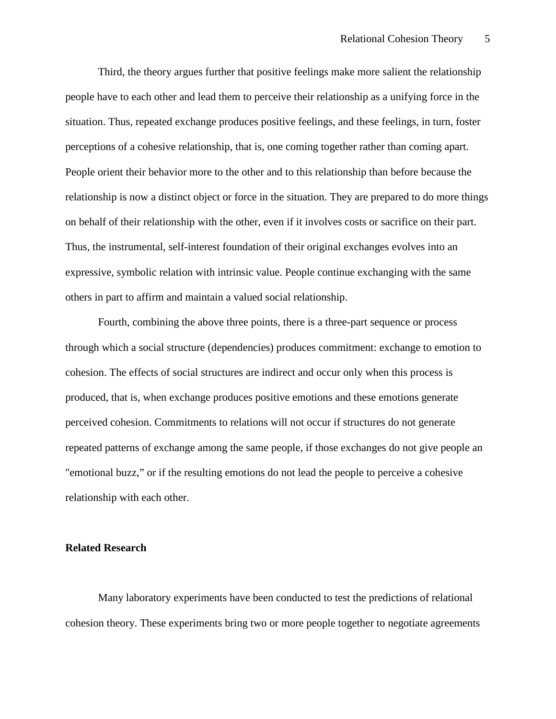Third, the theory argues further that positive feelings make more salient the relationship people have to each other and lead them to perceive their relationship as a unifying force in the situation. Thus, repeated exchange produces positive feelings, and these feelings, in turn, foster perceptions of a cohesive relationship, that is, one coming together rather than coming apart. People orient their behavior more to the other and to this relationship than before because the relationship is now a distinct object or force in the situation. They are prepared to do more things on behalf of their relationship with the other, even if it involves costs or sacrifice on their part. Thus, the instrumental, self-interest foundation of their original exchanges evolves into an expressive, symbolic relation with intrinsic value. People continue exchanging with the same others in part to affirm and maintain a valued social relationship.

Fourth, combining the above three points, there is a three-part sequence or process through which a social structure (dependencies) produces commitment: exchange to emotion to cohesion. The effects of social structures are indirect and occur only when this process is produced, that is, when exchange produces positive emotions and these emotions generate perceived cohesion. Commitments to relations will not occur if structures do not generate repeated patterns of exchange among the same people, if those exchanges do not give people an "emotional buzz," or if the resulting emotions do not lead the people to perceive a cohesive relationship with each other.

## **Related Research**

Many laboratory experiments have been conducted to test the predictions of relational cohesion theory. These experiments bring two or more people together to negotiate agreements